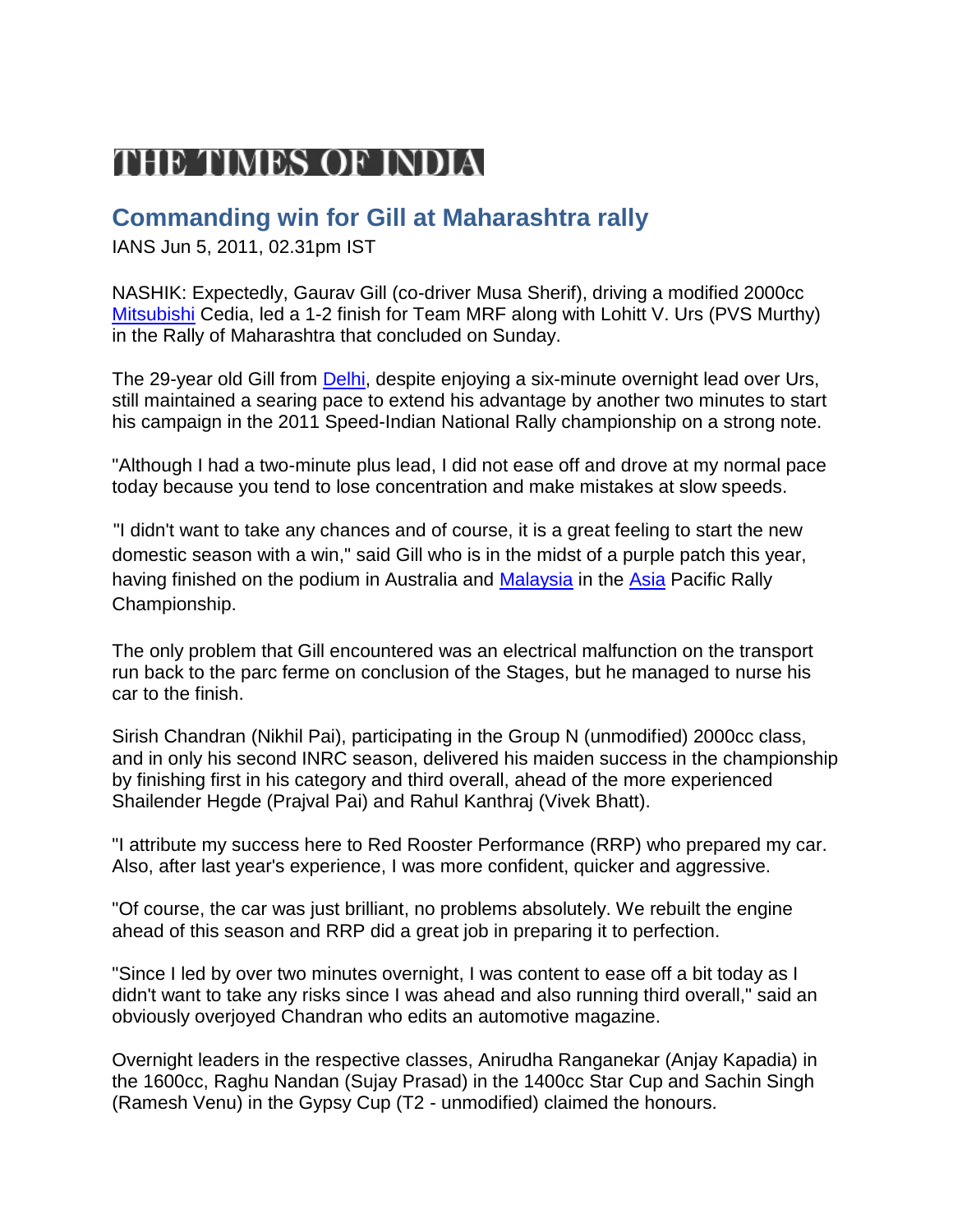## THE TIMES OF INDIA

## **Commanding win for Gill at Maharashtra rally**

IANS Jun 5, 2011, 02.31pm IST

NASHIK: Expectedly, Gaurav Gill (co-driver Musa Sherif), driving a modified 2000cc [Mitsubishi](http://timesofindia.indiatimes.com/topic/Mitsubishi) Cedia, led a 1-2 finish for Team MRF along with Lohitt V. Urs (PVS Murthy) in the Rally of Maharashtra that concluded on Sunday.

The 29-year old Gill from [Delhi,](http://timesofindia.indiatimes.com/topic/Delhi) despite enjoying a six-minute overnight lead over Urs, still maintained a searing pace to extend his advantage by another two minutes to start his campaign in the 2011 Speed-Indian National Rally championship on a strong note.

"Although I had a two-minute plus lead, I did not ease off and drove at my normal pace today because you tend to lose concentration and make mistakes at slow speeds.

"I didn't want to take any chances and of course, it is a great feeling to start the new domestic season with a win," said Gill who is in the midst of a purple patch this year, having finished on the podium in Australia and [Malaysia](http://timesofindia.indiatimes.com/topic/Malaysia) in the [Asia](http://timesofindia.indiatimes.com/topic/Asia) Pacific Rally Championship.

The only problem that Gill encountered was an electrical malfunction on the transport run back to the parc ferme on conclusion of the Stages, but he managed to nurse his car to the finish.

Sirish Chandran (Nikhil Pai), participating in the Group N (unmodified) 2000cc class, and in only his second INRC season, delivered his maiden success in the championship by finishing first in his category and third overall, ahead of the more experienced Shailender Hegde (Prajval Pai) and Rahul Kanthraj (Vivek Bhatt).

"I attribute my success here to Red Rooster Performance (RRP) who prepared my car. Also, after last year's experience, I was more confident, quicker and aggressive.

"Of course, the car was just brilliant, no problems absolutely. We rebuilt the engine ahead of this season and RRP did a great job in preparing it to perfection.

"Since I led by over two minutes overnight, I was content to ease off a bit today as I didn't want to take any risks since I was ahead and also running third overall," said an obviously overjoyed Chandran who edits an automotive magazine.

Overnight leaders in the respective classes, Anirudha Ranganekar (Anjay Kapadia) in the 1600cc, Raghu Nandan (Sujay Prasad) in the 1400cc Star Cup and Sachin Singh (Ramesh Venu) in the Gypsy Cup (T2 - unmodified) claimed the honours.